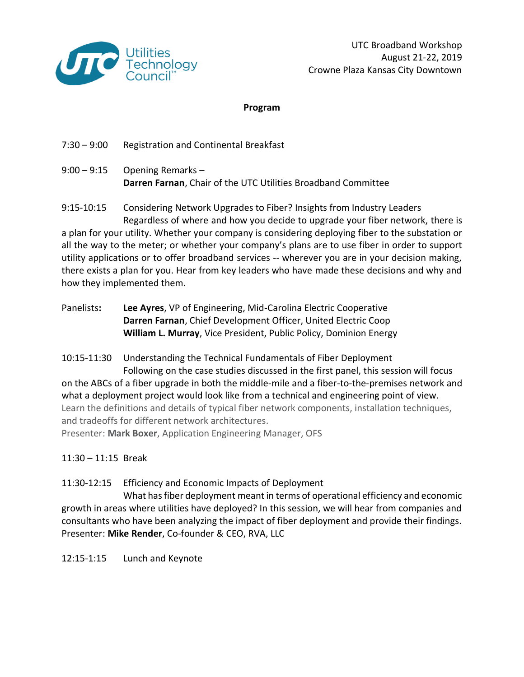

#### **Program**

- 7:30 9:00 Registration and Continental Breakfast
- $9:00 9:15$  Opening Remarks **Darren Farnan**, Chair of the UTC Utilities Broadband Committee

9:15-10:15 Considering Network Upgrades to Fiber? Insights from Industry Leaders Regardless of where and how you decide to upgrade your fiber network, there is a plan for your utility. Whether your company is considering deploying fiber to the substation or all the way to the meter; or whether your company's plans are to use fiber in order to support utility applications or to offer broadband services -- wherever you are in your decision making, there exists a plan for you. Hear from key leaders who have made these decisions and why and how they implemented them.

Panelists**: Lee Ayres**, VP of Engineering, Mid-Carolina Electric Cooperative **Darren Farnan**, Chief Development Officer, United Electric Coop **William L. Murray**, Vice President, Public Policy, Dominion Energy

10:15-11:30 Understanding the Technical Fundamentals of Fiber Deployment

Following on the case studies discussed in the first panel, this session will focus on the ABCs of a fiber upgrade in both the middle-mile and a fiber-to-the-premises network and what a deployment project would look like from a technical and engineering point of view. Learn the definitions and details of typical fiber network components, installation techniques, and tradeoffs for different network architectures.

Presenter: **Mark Boxer**, Application Engineering Manager, OFS

11:30 – 11:15 Break

11:30-12:15 Efficiency and Economic Impacts of Deployment

What hasfiber deployment meant in terms of operational efficiency and economic growth in areas where utilities have deployed? In this session, we will hear from companies and consultants who have been analyzing the impact of fiber deployment and provide their findings. Presenter: **Mike Render**, Co-founder & CEO, RVA, LLC

12:15-1:15 Lunch and Keynote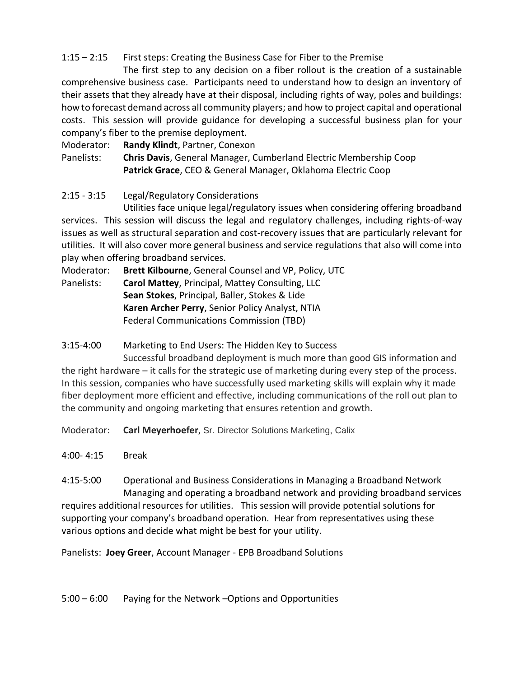## 1:15 – 2:15 First steps: Creating the Business Case for Fiber to the Premise

The first step to any decision on a fiber rollout is the creation of a sustainable comprehensive business case. Participants need to understand how to design an inventory of their assets that they already have at their disposal, including rights of way, poles and buildings: how to forecast demand across all community players; and how to project capital and operational costs. This session will provide guidance for developing a successful business plan for your company's fiber to the premise deployment.

Moderator: **Randy Klindt**, Partner, Conexon

Panelists: **Chris Davis**, General Manager, Cumberland Electric Membership Coop **Patrick Grace**, CEO & General Manager, Oklahoma Electric Coop

# 2:15 - 3:15 Legal/Regulatory Considerations

Utilities face unique legal/regulatory issues when considering offering broadband services. This session will discuss the legal and regulatory challenges, including rights-of-way issues as well as structural separation and cost-recovery issues that are particularly relevant for utilities. It will also cover more general business and service regulations that also will come into play when offering broadband services.

Moderator: **Brett Kilbourne**, General Counsel and VP, Policy, UTC

Panelists: **Carol Mattey**, Principal, Mattey Consulting, LLC **Sean Stokes**, Principal, Baller, Stokes & Lide **Karen Archer Perry**, Senior Policy Analyst, NTIA Federal Communications Commission (TBD)

### 3:15-4:00 Marketing to End Users: The Hidden Key to Success

Successful broadband deployment is much more than good GIS information and the right hardware – it calls for the strategic use of marketing during every step of the process. In this session, companies who have successfully used marketing skills will explain why it made fiber deployment more efficient and effective, including communications of the roll out plan to the community and ongoing marketing that ensures retention and growth.

Moderator: **Carl Meyerhoefer**, Sr. Director Solutions Marketing, Calix

4:00- 4:15 Break

4:15-5:00 Operational and Business Considerations in Managing a Broadband Network Managing and operating a broadband network and providing broadband services requires additional resources for utilities. This session will provide potential solutions for supporting your company's broadband operation. Hear from representatives using these various options and decide what might be best for your utility.

Panelists: **Joey Greer**, Account Manager - EPB Broadband Solutions

5:00 – 6:00 Paying for the Network –Options and Opportunities